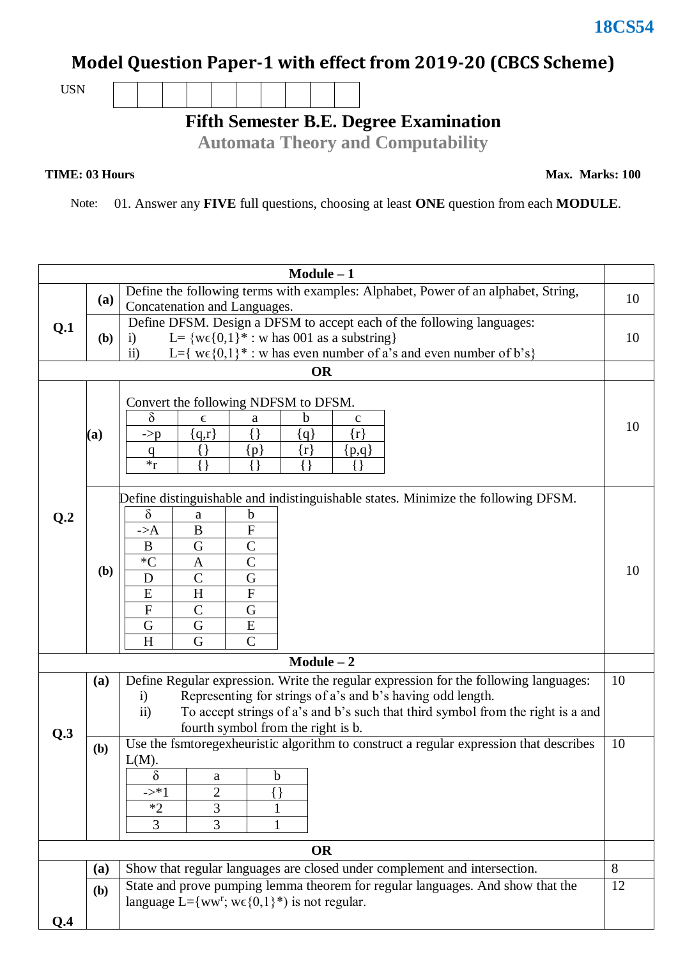## **Model Question Paper-1 with effect from 2019-20 (CBCS Scheme)**

USN

**Fifth Semester B.E. Degree Examination**

**Automata Theory and Computability**

## **TIME: 03 Hours**

**Max. Marks: 100**

Note: 01. Answer any **FIVE** full questions, choosing at least **ONE** question from each **MODULE**.

| $Module - 1$ |                                                                    |                                                                                                                                                                    |         |  |  |  |  |  |
|--------------|--------------------------------------------------------------------|--------------------------------------------------------------------------------------------------------------------------------------------------------------------|---------|--|--|--|--|--|
|              | (a)                                                                | Define the following terms with examples: Alphabet, Power of an alphabet, String,                                                                                  |         |  |  |  |  |  |
| Q.1          |                                                                    | Concatenation and Languages.                                                                                                                                       |         |  |  |  |  |  |
|              |                                                                    | Define DFSM. Design a DFSM to accept each of the following languages:                                                                                              |         |  |  |  |  |  |
|              | (b)                                                                | L= { $w \in \{0,1\}^*$ : w has 001 as a substring}<br>$\ddot{1}$<br>L={ $w \in \{0,1\}^*$ : w has even number of a's and even number of b's}<br>ii)                |         |  |  |  |  |  |
|              | <b>OR</b>                                                          |                                                                                                                                                                    |         |  |  |  |  |  |
|              |                                                                    |                                                                                                                                                                    |         |  |  |  |  |  |
|              |                                                                    | Convert the following NDFSM to DFSM.                                                                                                                               |         |  |  |  |  |  |
|              |                                                                    | $\delta$<br>b<br>$\mathbf c$<br>E<br>a                                                                                                                             | 10      |  |  |  |  |  |
|              | (a)                                                                | ${q,r}$<br>{ }<br>$\{r\}$<br>$\{q\}$<br>$\rightarrow p$                                                                                                            |         |  |  |  |  |  |
|              |                                                                    | $\{\}$<br>$\{r\}$<br>${p}$<br>${p,q}$<br>$\overline{q}$                                                                                                            |         |  |  |  |  |  |
|              |                                                                    | $*_r$<br>$\{\}$<br>{ }                                                                                                                                             |         |  |  |  |  |  |
|              |                                                                    | Define distinguishable and indistinguishable states. Minimize the following DFSM.                                                                                  |         |  |  |  |  |  |
| Q.2          |                                                                    | $\delta$<br>b<br>a                                                                                                                                                 |         |  |  |  |  |  |
|              |                                                                    | $\overline{F}$<br>$\overline{B}$<br>$\rightarrow A$                                                                                                                |         |  |  |  |  |  |
|              |                                                                    | $\mathsf{C}$<br>$\bf{B}$<br>G                                                                                                                                      |         |  |  |  |  |  |
|              |                                                                    | $\mathcal{C}$<br>${}^*C$<br>A                                                                                                                                      | 10      |  |  |  |  |  |
|              | (b)                                                                | G<br>$\overline{C}$<br>D                                                                                                                                           |         |  |  |  |  |  |
|              |                                                                    | H<br>$\mathbf F$<br>E                                                                                                                                              |         |  |  |  |  |  |
|              |                                                                    | $\overline{F}$<br>$\mathcal{C}$<br>G                                                                                                                               |         |  |  |  |  |  |
|              |                                                                    | ${\bf E}$<br>G<br>G<br>H<br>$\mathcal{C}$<br>G                                                                                                                     |         |  |  |  |  |  |
|              |                                                                    | $Module - 2$                                                                                                                                                       |         |  |  |  |  |  |
|              |                                                                    |                                                                                                                                                                    | 10      |  |  |  |  |  |
|              | (a)                                                                | Define Regular expression. Write the regular expression for the following languages:<br>Representing for strings of a's and b's having odd length.<br>$\mathbf{i}$ |         |  |  |  |  |  |
|              |                                                                    | To accept strings of a's and b's such that third symbol from the right is a and<br>$\overline{11}$                                                                 |         |  |  |  |  |  |
| Q.3          |                                                                    | fourth symbol from the right is b.                                                                                                                                 |         |  |  |  |  |  |
|              | (b)                                                                | Use the fsmtoregexheuristic algorithm to construct a regular expression that describes                                                                             | 10      |  |  |  |  |  |
|              |                                                                    | $L(M)$ .                                                                                                                                                           |         |  |  |  |  |  |
|              |                                                                    | δ<br>b<br>a                                                                                                                                                        |         |  |  |  |  |  |
|              |                                                                    | $\overline{2}$<br>$\rightarrow *1$<br>3<br>$*2$                                                                                                                    |         |  |  |  |  |  |
|              |                                                                    | $\overline{3}$<br>3                                                                                                                                                |         |  |  |  |  |  |
|              |                                                                    |                                                                                                                                                                    |         |  |  |  |  |  |
|              | <b>OR</b>                                                          |                                                                                                                                                                    |         |  |  |  |  |  |
|              | (a)                                                                | Show that regular languages are closed under complement and intersection.                                                                                          | 8<br>12 |  |  |  |  |  |
|              | (b)                                                                | State and prove pumping lemma theorem for regular languages. And show that the                                                                                     |         |  |  |  |  |  |
|              | language L={ww <sup>r</sup> ; w $\epsilon$ {0,1}*) is not regular. |                                                                                                                                                                    |         |  |  |  |  |  |
| Q.4          |                                                                    |                                                                                                                                                                    |         |  |  |  |  |  |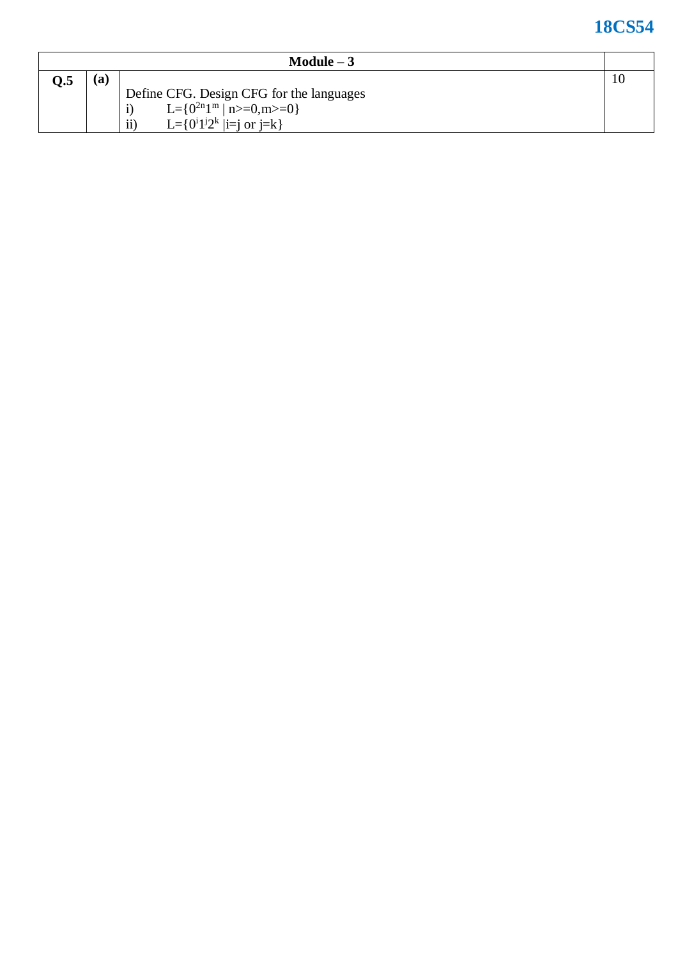## **18CS5 4**

| Module $-3$ |     |                                                          |  |  |
|-------------|-----|----------------------------------------------------------|--|--|
| Q.5         | (a) |                                                          |  |  |
|             |     | Define CFG. Design CFG for the languages                 |  |  |
|             |     | L={ $0^{2n}1^m$   n>=0,m>=0}                             |  |  |
|             |     | L= $\{0^i1^j2^k \mid i=i \text{ or } j=k\}$<br>$\rm ii)$ |  |  |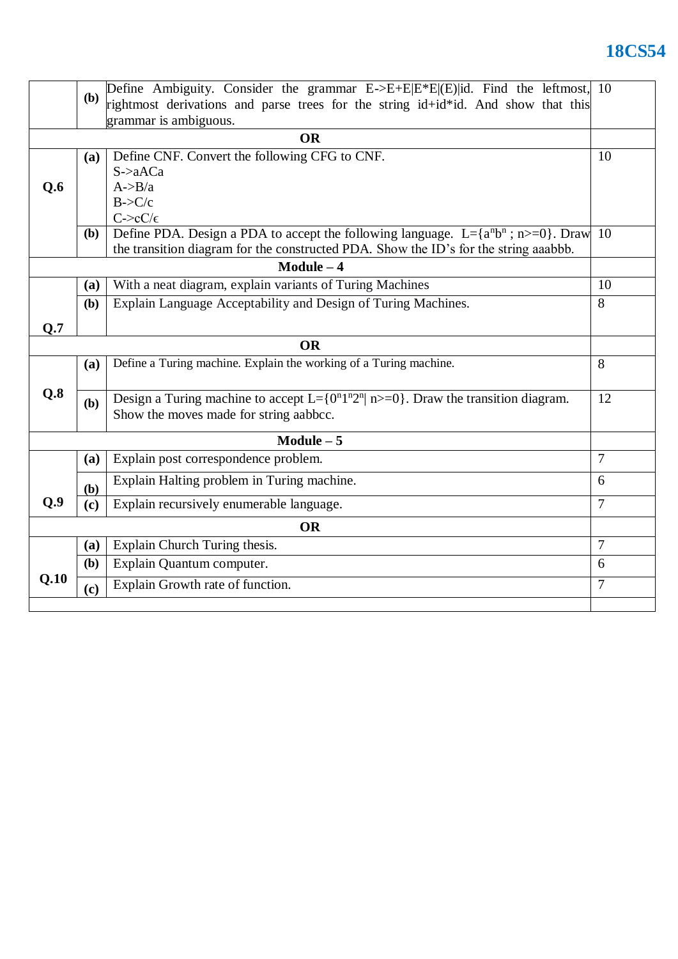## **18CS54**

|                 | (b)                                                                                  | Define Ambiguity. Consider the grammar $E\rightarrow E+E E*E (E) $ id. Find the leftmost, 10 |                |  |  |  |
|-----------------|--------------------------------------------------------------------------------------|----------------------------------------------------------------------------------------------|----------------|--|--|--|
|                 |                                                                                      | rightmost derivations and parse trees for the string id+id*id. And show that this            |                |  |  |  |
|                 |                                                                                      | grammar is ambiguous.                                                                        |                |  |  |  |
| <b>OR</b><br>10 |                                                                                      |                                                                                              |                |  |  |  |
|                 | <b>(a)</b>                                                                           | Define CNF. Convert the following CFG to CNF.                                                |                |  |  |  |
|                 |                                                                                      | $S \rightarrow aACa$                                                                         |                |  |  |  |
| Q.6             |                                                                                      | $A \rightarrow B/a$                                                                          |                |  |  |  |
|                 |                                                                                      | B > C/c<br>$C\text{-}$ c $C/\epsilon$                                                        |                |  |  |  |
|                 | ( <b>b</b> )                                                                         | Define PDA. Design a PDA to accept the following language. L={ $a^n b^n$ ; n>=0}. Draw       | 10             |  |  |  |
|                 | the transition diagram for the constructed PDA. Show the ID's for the string aaabbb. |                                                                                              |                |  |  |  |
| $Module - 4$    |                                                                                      |                                                                                              |                |  |  |  |
|                 |                                                                                      |                                                                                              | 10             |  |  |  |
|                 | (a)                                                                                  | With a neat diagram, explain variants of Turing Machines                                     |                |  |  |  |
|                 | <b>(b)</b>                                                                           | Explain Language Acceptability and Design of Turing Machines.                                | 8              |  |  |  |
| Q.7             |                                                                                      |                                                                                              |                |  |  |  |
| <b>OR</b>       |                                                                                      |                                                                                              |                |  |  |  |
|                 | (a)                                                                                  | Define a Turing machine. Explain the working of a Turing machine.                            | 8              |  |  |  |
|                 |                                                                                      |                                                                                              |                |  |  |  |
| Q.8             | (b)                                                                                  | Design a Turing machine to accept L={ $0n1n2n$   n>=0}. Draw the transition diagram.         | 12             |  |  |  |
|                 |                                                                                      | Show the moves made for string aabbcc.                                                       |                |  |  |  |
|                 |                                                                                      | Module $-5$                                                                                  |                |  |  |  |
|                 | <b>(a)</b>                                                                           | Explain post correspondence problem.                                                         | $\overline{7}$ |  |  |  |
|                 |                                                                                      | Explain Halting problem in Turing machine.                                                   | 6              |  |  |  |
| Q.9             | (b)<br>(c)                                                                           | Explain recursively enumerable language.                                                     | $\overline{7}$ |  |  |  |
|                 |                                                                                      |                                                                                              |                |  |  |  |
| <b>OR</b>       |                                                                                      |                                                                                              |                |  |  |  |
|                 | (a)                                                                                  | Explain Church Turing thesis.                                                                | $\overline{7}$ |  |  |  |
|                 | (b)                                                                                  | Explain Quantum computer.                                                                    | 6              |  |  |  |
| Q.10            | (c)                                                                                  | Explain Growth rate of function.                                                             | $\overline{7}$ |  |  |  |
|                 |                                                                                      |                                                                                              |                |  |  |  |